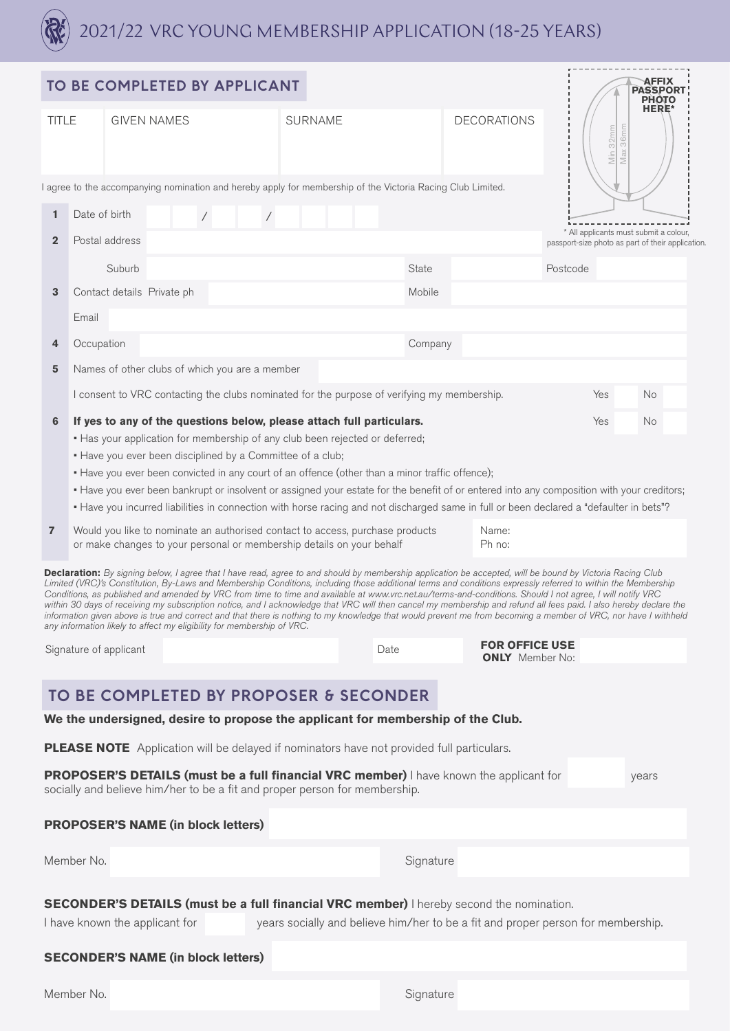

|                                                                                                                                                                                                                                                                                                                                                                                                                                                                                                                                                                                                                                                                                                                                                                                                                                                                                                         | TO BE COMPLETED BY APPLICANT                                                                                                               |                    |  |                |                |  |  |  |                                                 |                 |                                                                                                                                            |          |                                                                                             | <b>AFFIX</b><br><b>PASSPOR</b> |  |
|---------------------------------------------------------------------------------------------------------------------------------------------------------------------------------------------------------------------------------------------------------------------------------------------------------------------------------------------------------------------------------------------------------------------------------------------------------------------------------------------------------------------------------------------------------------------------------------------------------------------------------------------------------------------------------------------------------------------------------------------------------------------------------------------------------------------------------------------------------------------------------------------------------|--------------------------------------------------------------------------------------------------------------------------------------------|--------------------|--|----------------|----------------|--|--|--|-------------------------------------------------|-----------------|--------------------------------------------------------------------------------------------------------------------------------------------|----------|---------------------------------------------------------------------------------------------|--------------------------------|--|
| <b>TITLE</b>                                                                                                                                                                                                                                                                                                                                                                                                                                                                                                                                                                                                                                                                                                                                                                                                                                                                                            |                                                                                                                                            | <b>GIVEN NAMES</b> |  |                | <b>SURNAME</b> |  |  |  | <b>DECORATIONS</b>                              |                 | <b>PHOTO</b><br><b>HERE*</b><br>36 <sub>mm</sub><br>Min 32mm<br>Max                                                                        |          |                                                                                             |                                |  |
|                                                                                                                                                                                                                                                                                                                                                                                                                                                                                                                                                                                                                                                                                                                                                                                                                                                                                                         | I agree to the accompanying nomination and hereby apply for membership of the Victoria Racing Club Limited.                                |                    |  |                |                |  |  |  |                                                 |                 |                                                                                                                                            |          |                                                                                             |                                |  |
| $\mathbf{1}$                                                                                                                                                                                                                                                                                                                                                                                                                                                                                                                                                                                                                                                                                                                                                                                                                                                                                            | Date of birth<br>$\sqrt{2}$                                                                                                                |                    |  | $\overline{ }$ |                |  |  |  |                                                 |                 |                                                                                                                                            |          |                                                                                             |                                |  |
| $\overline{2}$                                                                                                                                                                                                                                                                                                                                                                                                                                                                                                                                                                                                                                                                                                                                                                                                                                                                                          | Postal address                                                                                                                             |                    |  |                |                |  |  |  |                                                 |                 |                                                                                                                                            |          | * All applicants must submit a colour,<br>passport-size photo as part of their application. |                                |  |
|                                                                                                                                                                                                                                                                                                                                                                                                                                                                                                                                                                                                                                                                                                                                                                                                                                                                                                         |                                                                                                                                            | Suburb             |  |                |                |  |  |  | State                                           |                 |                                                                                                                                            | Postcode |                                                                                             |                                |  |
| 3                                                                                                                                                                                                                                                                                                                                                                                                                                                                                                                                                                                                                                                                                                                                                                                                                                                                                                       | Contact details Private ph                                                                                                                 |                    |  |                |                |  |  |  | Mobile                                          |                 |                                                                                                                                            |          |                                                                                             |                                |  |
| Email                                                                                                                                                                                                                                                                                                                                                                                                                                                                                                                                                                                                                                                                                                                                                                                                                                                                                                   |                                                                                                                                            |                    |  |                |                |  |  |  |                                                 |                 |                                                                                                                                            |          |                                                                                             |                                |  |
| 4                                                                                                                                                                                                                                                                                                                                                                                                                                                                                                                                                                                                                                                                                                                                                                                                                                                                                                       | Occupation                                                                                                                                 |                    |  |                |                |  |  |  | Company                                         |                 |                                                                                                                                            |          |                                                                                             |                                |  |
| 5                                                                                                                                                                                                                                                                                                                                                                                                                                                                                                                                                                                                                                                                                                                                                                                                                                                                                                       | Names of other clubs of which you are a member                                                                                             |                    |  |                |                |  |  |  |                                                 |                 |                                                                                                                                            |          |                                                                                             |                                |  |
|                                                                                                                                                                                                                                                                                                                                                                                                                                                                                                                                                                                                                                                                                                                                                                                                                                                                                                         | I consent to VRC contacting the clubs nominated for the purpose of verifying my membership.                                                |                    |  |                |                |  |  |  |                                                 |                 |                                                                                                                                            | Yes      |                                                                                             | No.                            |  |
| 6                                                                                                                                                                                                                                                                                                                                                                                                                                                                                                                                                                                                                                                                                                                                                                                                                                                                                                       | If yes to any of the questions below, please attach full particulars.                                                                      |                    |  |                |                |  |  |  |                                                 |                 |                                                                                                                                            | Yes      |                                                                                             | No                             |  |
|                                                                                                                                                                                                                                                                                                                                                                                                                                                                                                                                                                                                                                                                                                                                                                                                                                                                                                         | • Has your application for membership of any club been rejected or deferred;<br>. Have you ever been disciplined by a Committee of a club; |                    |  |                |                |  |  |  |                                                 |                 |                                                                                                                                            |          |                                                                                             |                                |  |
|                                                                                                                                                                                                                                                                                                                                                                                                                                                                                                                                                                                                                                                                                                                                                                                                                                                                                                         | • Have you ever been convicted in any court of an offence (other than a minor traffic offence);                                            |                    |  |                |                |  |  |  |                                                 |                 |                                                                                                                                            |          |                                                                                             |                                |  |
|                                                                                                                                                                                                                                                                                                                                                                                                                                                                                                                                                                                                                                                                                                                                                                                                                                                                                                         |                                                                                                                                            |                    |  |                |                |  |  |  |                                                 |                 | • Have you ever been bankrupt or insolvent or assigned your estate for the benefit of or entered into any composition with your creditors; |          |                                                                                             |                                |  |
| • Have you incurred liabilities in connection with horse racing and not discharged same in full or been declared a "defaulter in bets"?<br>$\overline{7}$<br>Would you like to nominate an authorised contact to access, purchase products<br>or make changes to your personal or membership details on your behalf                                                                                                                                                                                                                                                                                                                                                                                                                                                                                                                                                                                     |                                                                                                                                            |                    |  |                |                |  |  |  |                                                 | Name:<br>Ph no: |                                                                                                                                            |          |                                                                                             |                                |  |
| Declaration: By signing below, I agree that I have read, agree to and should by membership application be accepted, will be bound by Victoria Racing Club<br>Limited (VRC)'s Constitution, By-Laws and Membership Conditions, including those additional terms and conditions expressly referred to within the Membership<br>Conditions, as published and amended by VRC from time to time and available at www.vrc.net.au/terms-and-conditions. Should I not agree, I will notify VRC<br>within 30 days of receiving my subscription notice, and I acknowledge that VRC will then cancel my membership and refund all fees paid. I also hereby declare the<br>information given above is true and correct and that there is nothing to my knowledge that would prevent me from becoming a member of VRC, nor have I withheld<br>any information likely to affect my eligibility for membership of VRC. |                                                                                                                                            |                    |  |                |                |  |  |  |                                                 |                 |                                                                                                                                            |          |                                                                                             |                                |  |
| Signature of applicant                                                                                                                                                                                                                                                                                                                                                                                                                                                                                                                                                                                                                                                                                                                                                                                                                                                                                  |                                                                                                                                            |                    |  |                | Date           |  |  |  | <b>FOR OFFICE USE</b><br><b>ONLY</b> Member No: |                 |                                                                                                                                            |          |                                                                                             |                                |  |
|                                                                                                                                                                                                                                                                                                                                                                                                                                                                                                                                                                                                                                                                                                                                                                                                                                                                                                         |                                                                                                                                            |                    |  |                |                |  |  |  |                                                 |                 |                                                                                                                                            |          |                                                                                             |                                |  |
| TO BE COMPLETED BY PROPOSER & SECONDER                                                                                                                                                                                                                                                                                                                                                                                                                                                                                                                                                                                                                                                                                                                                                                                                                                                                  |                                                                                                                                            |                    |  |                |                |  |  |  |                                                 |                 |                                                                                                                                            |          |                                                                                             |                                |  |
| We the undersigned, desire to propose the applicant for membership of the Club.                                                                                                                                                                                                                                                                                                                                                                                                                                                                                                                                                                                                                                                                                                                                                                                                                         |                                                                                                                                            |                    |  |                |                |  |  |  |                                                 |                 |                                                                                                                                            |          |                                                                                             |                                |  |
| <b>PLEASE NOTE</b> Application will be delayed if nominators have not provided full particulars.                                                                                                                                                                                                                                                                                                                                                                                                                                                                                                                                                                                                                                                                                                                                                                                                        |                                                                                                                                            |                    |  |                |                |  |  |  |                                                 |                 |                                                                                                                                            |          |                                                                                             |                                |  |
| <b>PROPOSER'S DETAILS (must be a full financial VRC member)</b> I have known the applicant for<br>years<br>socially and believe him/her to be a fit and proper person for membership.                                                                                                                                                                                                                                                                                                                                                                                                                                                                                                                                                                                                                                                                                                                   |                                                                                                                                            |                    |  |                |                |  |  |  |                                                 |                 |                                                                                                                                            |          |                                                                                             |                                |  |
|                                                                                                                                                                                                                                                                                                                                                                                                                                                                                                                                                                                                                                                                                                                                                                                                                                                                                                         | <b>PROPOSER'S NAME (in block letters)</b>                                                                                                  |                    |  |                |                |  |  |  |                                                 |                 |                                                                                                                                            |          |                                                                                             |                                |  |
|                                                                                                                                                                                                                                                                                                                                                                                                                                                                                                                                                                                                                                                                                                                                                                                                                                                                                                         | Member No.                                                                                                                                 |                    |  |                |                |  |  |  | Signature                                       |                 |                                                                                                                                            |          |                                                                                             |                                |  |
| <b>SECONDER'S DETAILS (must be a full financial VRC member)</b> I hereby second the nomination.                                                                                                                                                                                                                                                                                                                                                                                                                                                                                                                                                                                                                                                                                                                                                                                                         |                                                                                                                                            |                    |  |                |                |  |  |  |                                                 |                 |                                                                                                                                            |          |                                                                                             |                                |  |
|                                                                                                                                                                                                                                                                                                                                                                                                                                                                                                                                                                                                                                                                                                                                                                                                                                                                                                         | I have known the applicant for                                                                                                             |                    |  |                |                |  |  |  |                                                 |                 | years socially and believe him/her to be a fit and proper person for membership.                                                           |          |                                                                                             |                                |  |
|                                                                                                                                                                                                                                                                                                                                                                                                                                                                                                                                                                                                                                                                                                                                                                                                                                                                                                         | <b>SECONDER'S NAME (in block letters)</b>                                                                                                  |                    |  |                |                |  |  |  |                                                 |                 |                                                                                                                                            |          |                                                                                             |                                |  |